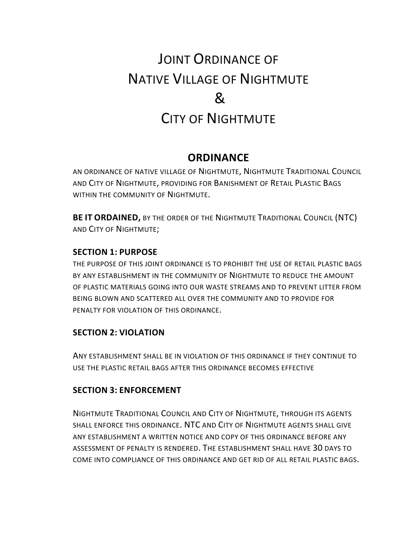# JOINT ORDINANCE OF NATIVE VILLAGE OF NIGHTMUTE  $\mathcal{R}$ CITY OF NIGHTMUTE

## **ORDINANCE**

AN ORDINANCE OF NATIVE VILLAGE OF NIGHTMUTE, NIGHTMUTE TRADITIONAL COUNCIL AND CITY OF NIGHTMUTE, PROVIDING FOR BANISHMENT OF RETAIL PLASTIC BAGS WITHIN THE COMMUNITY OF NIGHTMUTE.

**BE IT ORDAINED,** BY THE ORDER OF THE NIGHTMUTE TRADITIONAL COUNCIL (NTC) AND CITY OF NIGHTMUTE;

#### **SECTION 1: PURPOSE**

THE PURPOSE OF THIS JOINT ORDINANCE IS TO PROHIBIT THE USE OF RETAIL PLASTIC BAGS BY ANY ESTABLISHMENT IN THE COMMUNITY OF NIGHTMUTE TO REDUCE THE AMOUNT OF PLASTIC MATERIALS GOING INTO OUR WASTE STREAMS AND TO PREVENT LITTER FROM BEING BLOWN AND SCATTERED ALL OVER THE COMMUNITY AND TO PROVIDE FOR PENALTY FOR VIOLATION OF THIS ORDINANCE.

#### **SECTION 2: VIOLATION**

ANY ESTABLISHMENT SHALL BE IN VIOLATION OF THIS ORDINANCE IF THEY CONTINUE TO USE THE PLASTIC RETAIL BAGS AFTER THIS ORDINANCE BECOMES EFFECTIVE

#### **SECTION 3: ENFORCEMENT**

NIGHTMUTE TRADITIONAL COUNCIL AND CITY OF NIGHTMUTE, THROUGH ITS AGENTS SHALL ENFORCE THIS ORDINANCE. NTC AND CITY OF NIGHTMUTE AGENTS SHALL GIVE ANY ESTABLISHMENT A WRITTEN NOTICE AND COPY OF THIS ORDINANCE BEFORE ANY ASSESSMENT OF PENALTY IS RENDERED. THE ESTABLISHMENT SHALL HAVE 30 DAYS TO COME INTO COMPLIANCE OF THIS ORDINANCE AND GET RID OF ALL RETAIL PLASTIC BAGS.